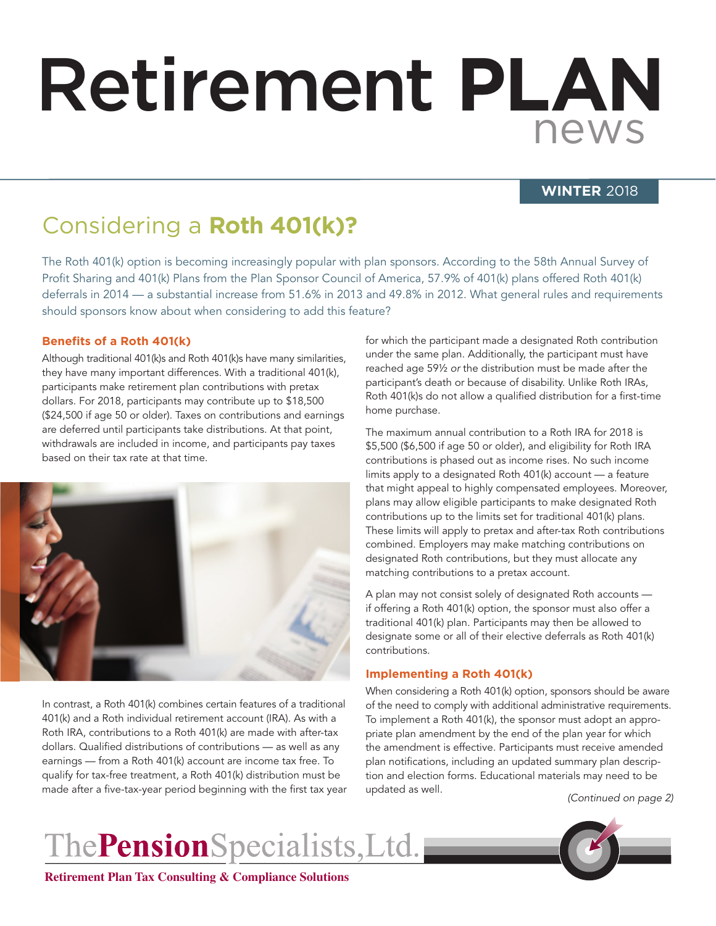# Retirement **PLAN** news

#### **WINTER** 2018

# Considering a **Roth 401(k)?**

The Roth 401(k) option is becoming increasingly popular with plan sponsors. According to the 58th Annual Survey of Profit Sharing and 401(k) Plans from the Plan Sponsor Council of America, 57.9% of 401(k) plans offered Roth 401(k) deferrals in 2014 — a substantial increase from 51.6% in 2013 and 49.8% in 2012. What general rules and requirements should sponsors know about when considering to add this feature?

#### **Benefits of a Roth 401(k)**

Although traditional 401(k)s and Roth 401(k)s have many similarities, they have many important differences. With a traditional 401(k), participants make retirement plan contributions with pretax dollars. For 2018, participants may contribute up to \$18,500 (\$24,500 if age 50 or older). Taxes on contributions and earnings are deferred until participants take distributions. At that point, withdrawals are included in income, and participants pay taxes based on their tax rate at that time.



In contrast, a Roth 401(k) combines certain features of a traditional 401(k) and a Roth individual retirement account (IRA). As with a Roth IRA, contributions to a Roth 401(k) are made with after-tax dollars. Qualified distributions of contributions - as well as any earnings — from a Roth 401(k) account are income tax free. To qualify for tax-free treatment, a Roth 401(k) distribution must be made after a five-tax-year period beginning with the first tax year for which the participant made a designated Roth contribution under the same plan. Additionally, the participant must have reached age 59½ *or* the distribution must be made after the participant's death or because of disability. Unlike Roth IRAs, Roth 401(k)s do not allow a qualified distribution for a first-time home purchase.

The maximum annual contribution to a Roth IRA for 2018 is \$5,500 (\$6,500 if age 50 or older), and eligibility for Roth IRA contributions is phased out as income rises. No such income limits apply to a designated Roth 401(k) account — a feature that might appeal to highly compensated employees. Moreover, plans may allow eligible participants to make designated Roth contributions up to the limits set for traditional 401(k) plans. These limits will apply to pretax and after-tax Roth contributions combined. Employers may make matching contributions on designated Roth contributions, but they must allocate any matching contributions to a pretax account.

A plan may not consist solely of designated Roth accounts if offering a Roth 401(k) option, the sponsor must also offer a traditional 401(k) plan. Participants may then be allowed to designate some or all of their elective deferrals as Roth 401(k) contributions.

#### **Implementing a Roth 401(k)**

When considering a Roth 401(k) option, sponsors should be aware of the need to comply with additional administrative requirements. To implement a Roth 401(k), the sponsor must adopt an appropriate plan amendment by the end of the plan year for which the amendment is effective. Participants must receive amended plan notifications, including an updated summary plan description and election forms. Educational materials may need to be updated as well.

*(Continued on page 2)*



**Retirement Plan Tax Consulting & Compliance Solutions**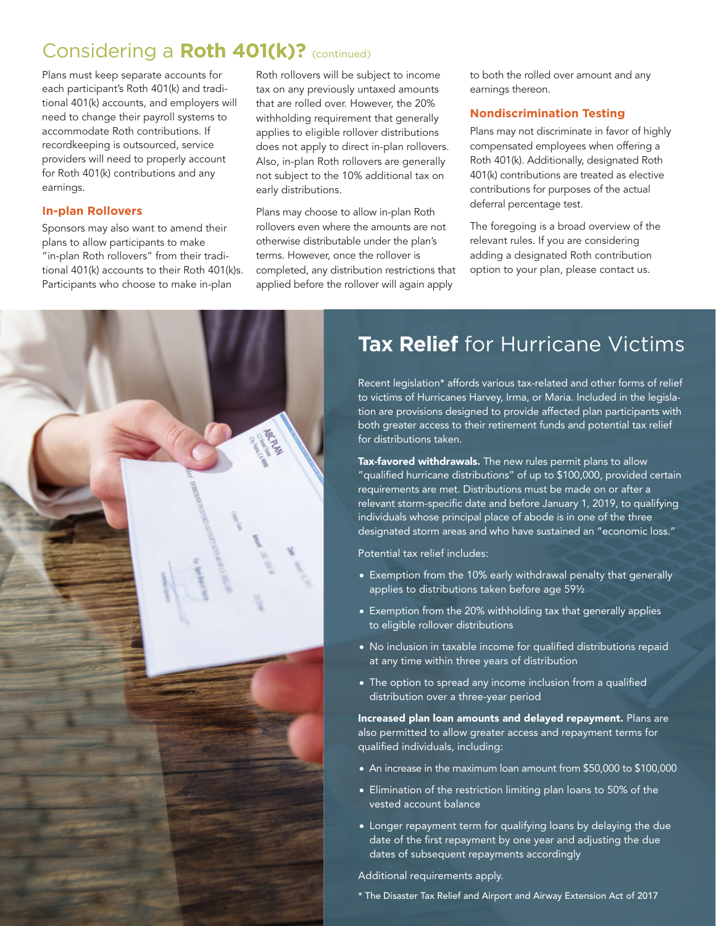### Considering a **Roth 401(k)?** (continued)

Plans must keep separate accounts for each participant's Roth 401(k) and traditional 401(k) accounts, and employers will need to change their payroll systems to accommodate Roth contributions. If recordkeeping is outsourced, service providers will need to properly account for Roth 401(k) contributions and any earnings.

#### **In-plan Rollovers**

Sponsors may also want to amend their plans to allow participants to make "in-plan Roth rollovers" from their traditional 401(k) accounts to their Roth 401(k)s. Participants who choose to make in-plan

Roth rollovers will be subject to income tax on any previously untaxed amounts that are rolled over. However, the 20% withholding requirement that generally applies to eligible rollover distributions does not apply to direct in-plan rollovers. Also, in-plan Roth rollovers are generally not subject to the 10% additional tax on early distributions.

Plans may choose to allow in-plan Roth rollovers even where the amounts are not otherwise distributable under the plan's terms. However, once the rollover is completed, any distribution restrictions that applied before the rollover will again apply

to both the rolled over amount and any earnings thereon.

#### **Nondiscrimination Testing**

Plans may not discriminate in favor of highly compensated employees when offering a Roth 401(k). Additionally, designated Roth 401(k) contributions are treated as elective contributions for purposes of the actual deferral percentage test.

The foregoing is a broad overview of the relevant rules. If you are considering adding a designated Roth contribution option to your plan, please contact us.



### **Tax Relief** for Hurricane Victims

Recent legislation\* affords various tax-related and other forms of relief to victims of Hurricanes Harvey, Irma, or Maria. Included in the legislation are provisions designed to provide affected plan participants with both greater access to their retirement funds and potential tax relief for distributions taken.

Tax-favored withdrawals. The new rules permit plans to allow "qualified hurricane distributions" of up to \$100,000, provided certain requirements are met. Distributions must be made on or after a relevant storm-specific date and before January 1, 2019, to qualifying individuals whose principal place of abode is in one of the three designated storm areas and who have sustained an "economic loss."

Potential tax relief includes:

- Exemption from the 10% early withdrawal penalty that generally applies to distributions taken before age 59½
- Exemption from the 20% withholding tax that generally applies to eligible rollover distributions
- No inclusion in taxable income for qualified distributions repaid at any time within three years of distribution
- The option to spread any income inclusion from a qualified distribution over a three-year period

Increased plan loan amounts and delayed repayment. Plans are also permitted to allow greater access and repayment terms for qualified individuals, including:

- An increase in the maximum loan amount from \$50,000 to \$100,000
- Elimination of the restriction limiting plan loans to 50% of the vested account balance
- Longer repayment term for qualifying loans by delaying the due date of the first repayment by one year and adjusting the due dates of subsequent repayments accordingly

Additional requirements apply.

\* The Disaster Tax Relief and Airport and Airway Extension Act of 2017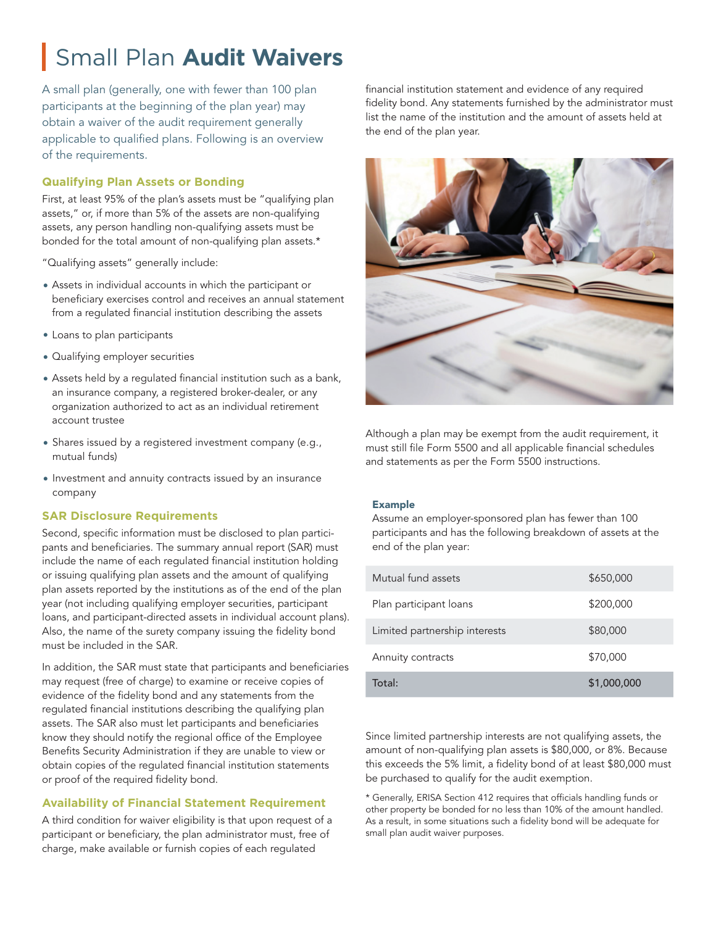# Small Plan **Audit Waivers**

A small plan (generally, one with fewer than 100 plan participants at the beginning of the plan year) may obtain a waiver of the audit requirement generally applicable to qualified plans. Following is an overview of the requirements.

#### **Qualifying Plan Assets or Bonding**

First, at least 95% of the plan's assets must be "qualifying plan assets," or, if more than 5% of the assets are non-qualifying assets, any person handling non-qualifying assets must be bonded for the total amount of non-qualifying plan assets.\*

"Qualifying assets" generally include:

- Assets in individual accounts in which the participant or beneficiary exercises control and receives an annual statement from a regulated financial institution describing the assets
- Loans to plan participants
- Qualifying employer securities
- Assets held by a regulated financial institution such as a bank, an insurance company, a registered broker-dealer, or any organization authorized to act as an individual retirement account trustee
- Shares issued by a registered investment company (e.g., mutual funds)
- Investment and annuity contracts issued by an insurance company

#### **SAR Disclosure Requirements**

Second, specific information must be disclosed to plan participants and beneficiaries. The summary annual report (SAR) must include the name of each regulated financial institution holding or issuing qualifying plan assets and the amount of qualifying plan assets reported by the institutions as of the end of the plan year (not including qualifying employer securities, participant loans, and participant-directed assets in individual account plans). Also, the name of the surety company issuing the fidelity bond must be included in the SAR.

In addition, the SAR must state that participants and beneficiaries may request (free of charge) to examine or receive copies of evidence of the fidelity bond and any statements from the regulated financial institutions describing the qualifying plan assets. The SAR also must let participants and beneficiaries know they should notify the regional office of the Employee Benefits Security Administration if they are unable to view or obtain copies of the regulated financial institution statements or proof of the required fidelity bond.

#### **Availability of Financial Statement Requirement**

A third condition for waiver eligibility is that upon request of a participant or beneficiary, the plan administrator must, free of charge, make available or furnish copies of each regulated

financial institution statement and evidence of any required fidelity bond. Any statements furnished by the administrator must list the name of the institution and the amount of assets held at the end of the plan year.



Although a plan may be exempt from the audit requirement, it must still file Form 5500 and all applicable financial schedules and statements as per the Form 5500 instructions.

#### Example

Assume an employer-sponsored plan has fewer than 100 participants and has the following breakdown of assets at the end of the plan year:

| Mutual fund assets            | \$650,000   |
|-------------------------------|-------------|
| Plan participant loans        | \$200,000   |
| Limited partnership interests | \$80,000    |
| Annuity contracts             | \$70,000    |
| Total:                        | \$1,000,000 |

Since limited partnership interests are not qualifying assets, the amount of non-qualifying plan assets is \$80,000, or 8%. Because this exceeds the 5% limit, a fidelity bond of at least \$80,000 must be purchased to qualify for the audit exemption.

\* Generally, ERISA Section 412 requires that officials handling funds or other property be bonded for no less than 10% of the amount handled. As a result, in some situations such a fidelity bond will be adequate for small plan audit waiver purposes.